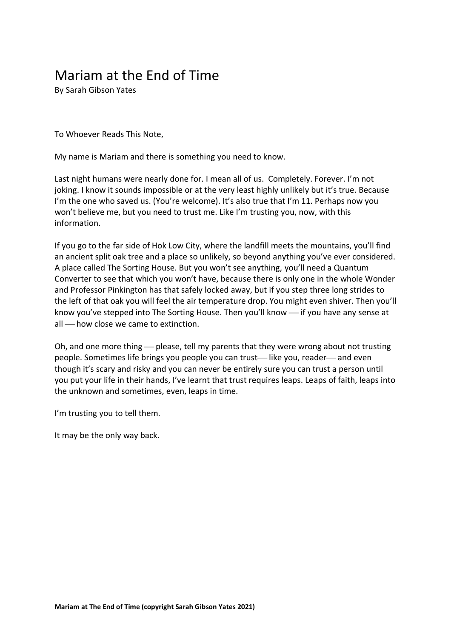## Mariam at the End of Time

By Sarah Gibson Yates

To Whoever Reads This Note,

My name is Mariam and there is something you need to know.

Last night humans were nearly done for. I mean all of us. Completely. Forever. I'm not joking. I know it sounds impossible or at the very least highly unlikely but it's true. Because I'm the one who saved us. (You're welcome). It's also true that I'm 11. Perhaps now you won't believe me, but you need to trust me. Like I'm trusting you, now, with this information.

If you go to the far side of Hok Low City, where the landfill meets the mountains, you'll find an ancient split oak tree and a place so unlikely, so beyond anything you've ever considered. A place called The Sorting House. But you won't see anything, you'll need a Quantum Converter to see that which you won't have, because there is only one in the whole Wonder and Professor Pinkington has that safely locked away, but if you step three long strides to the left of that oak you will feel the air temperature drop. You might even shiver. Then you'll know you've stepped into The Sorting House. Then you'll know — if you have any sense at all how close we came to extinction.

Oh, and one more thing — please, tell my parents that they were wrong about not trusting people. Sometimes life brings you people you can trust—like you, reader—and even though it's scary and risky and you can never be entirely sure you can trust a person until you put your life in their hands, I've learnt that trust requires leaps. Leaps of faith, leaps into the unknown and sometimes, even, leaps in time.

I'm trusting you to tell them.

It may be the only way back.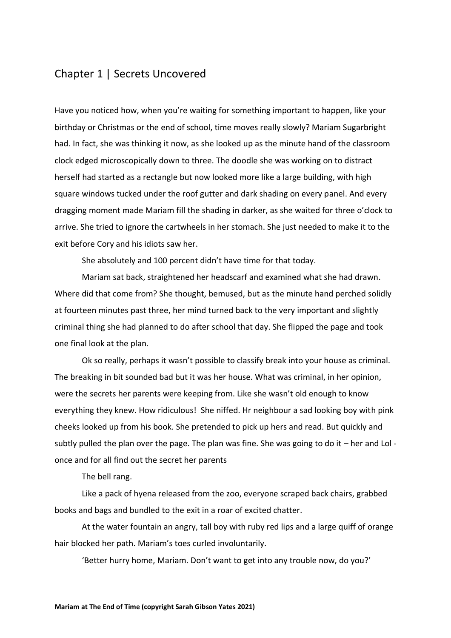## Chapter 1 | Secrets Uncovered

Have you noticed how, when you're waiting for something important to happen, like your birthday or Christmas or the end of school, time moves really slowly? Mariam Sugarbright had. In fact, she was thinking it now, as she looked up as the minute hand of the classroom clock edged microscopically down to three. The doodle she was working on to distract herself had started as a rectangle but now looked more like a large building, with high square windows tucked under the roof gutter and dark shading on every panel. And every dragging moment made Mariam fill the shading in darker, as she waited for three o'clock to arrive. She tried to ignore the cartwheels in her stomach. She just needed to make it to the exit before Cory and his idiots saw her.

She absolutely and 100 percent didn't have time for that today.

Mariam sat back, straightened her headscarf and examined what she had drawn. Where did that come from? She thought, bemused, but as the minute hand perched solidly at fourteen minutes past three, her mind turned back to the very important and slightly criminal thing she had planned to do after school that day. She flipped the page and took one final look at the plan.

Ok so really, perhaps it wasn't possible to classify break into your house as criminal. The breaking in bit sounded bad but it was her house. What was criminal, in her opinion, were the secrets her parents were keeping from. Like she wasn't old enough to know everything they knew. How ridiculous! She niffed. Hr neighbour a sad looking boy with pink cheeks looked up from his book. She pretended to pick up hers and read. But quickly and subtly pulled the plan over the page. The plan was fine. She was going to do it  $-$  her and LoI once and for all find out the secret her parents

The bell rang.

Like a pack of hyena released from the zoo, everyone scraped back chairs, grabbed books and bags and bundled to the exit in a roar of excited chatter.

At the water fountain an angry, tall boy with ruby red lips and a large quiff of orange hair blocked her path. Mariam's toes curled involuntarily.

'Better hurry home, Mariam. Don't want to get into any trouble now, do you?'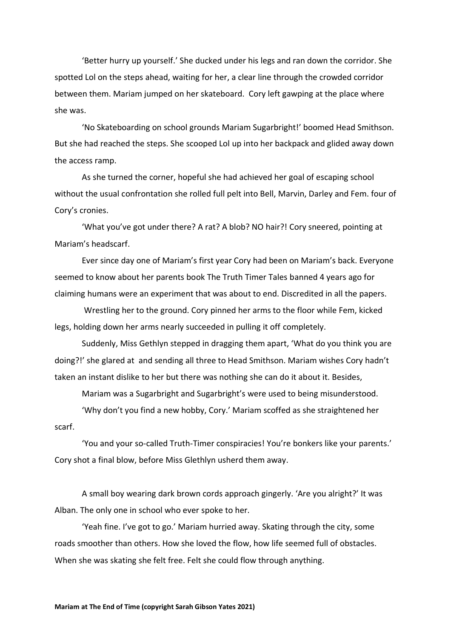'Better hurry up yourself.' She ducked under his legs and ran down the corridor. She spotted Lol on the steps ahead, waiting for her, a clear line through the crowded corridor between them. Mariam jumped on her skateboard. Cory left gawping at the place where she was.

'No Skateboarding on school grounds Mariam Sugarbright!' boomed Head Smithson. But she had reached the steps. She scooped Lol up into her backpack and glided away down the access ramp.

As she turned the corner, hopeful she had achieved her goal of escaping school without the usual confrontation she rolled full pelt into Bell, Marvin, Darley and Fem. four of Cory's cronies.

'What you've got under there? A rat? A blob? NO hair?! Cory sneered, pointing at Mariam's headscarf.

Ever since day one of Mariam's first year Cory had been on Mariam's back. Everyone seemed to know about her parents book The Truth Timer Tales banned 4 years ago for claiming humans were an experiment that was about to end. Discredited in all the papers.

Wrestling her to the ground. Cory pinned her arms to the floor while Fem, kicked legs, holding down her arms nearly succeeded in pulling it off completely.

Suddenly, Miss Gethlyn stepped in dragging them apart, 'What do you think you are doing?!' she glared at and sending all three to Head Smithson. Mariam wishes Cory hadn't taken an instant dislike to her but there was nothing she can do it about it. Besides,

Mariam was a Sugarbright and Sugarbright's were used to being misunderstood.

'Why don't you find a new hobby, Cory.' Mariam scoffed as she straightened her

scarf.

'You and your so-called Truth-Timer conspiracies! You're bonkers like your parents.' Cory shot a final blow, before Miss Glethlyn usherd them away.

A small boy wearing dark brown cords approach gingerly. 'Are you alright?' It was Alban. The only one in school who ever spoke to her.

'Yeah fine. I've got to go.' Mariam hurried away. Skating through the city, some roads smoother than others. How she loved the flow, how life seemed full of obstacles. When she was skating she felt free. Felt she could flow through anything.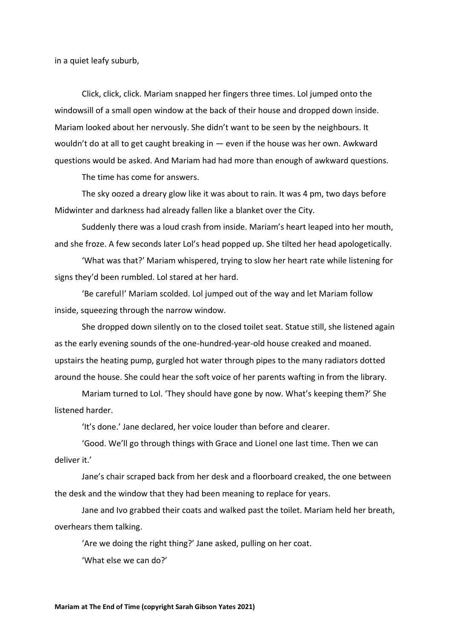in a quiet leafy suburb,

Click, click, click. Mariam snapped her fingers three times. Lol jumped onto the windowsill of a small open window at the back of their house and dropped down inside. Mariam looked about her nervously. She didn't want to be seen by the neighbours. It wouldn't do at all to get caught breaking in — even if the house was her own. Awkward questions would be asked. And Mariam had had more than enough of awkward questions.

The time has come for answers.

The sky oozed a dreary glow like it was about to rain. It was 4 pm, two days before Midwinter and darkness had already fallen like a blanket over the City.

Suddenly there was a loud crash from inside. Mariam's heart leaped into her mouth, and she froze. A few seconds later Lol's head popped up. She tilted her head apologetically.

'What was that?' Mariam whispered, trying to slow her heart rate while listening for signs they'd been rumbled. Lol stared at her hard.

'Be careful!' Mariam scolded. Lol jumped out of the way and let Mariam follow inside, squeezing through the narrow window.

She dropped down silently on to the closed toilet seat. Statue still, she listened again as the early evening sounds of the one-hundred-year-old house creaked and moaned. upstairs the heating pump, gurgled hot water through pipes to the many radiators dotted around the house. She could hear the soft voice of her parents wafting in from the library.

Mariam turned to Lol. 'They should have gone by now. What's keeping them?' She listened harder.

'It's done.' Jane declared, her voice louder than before and clearer.

'Good. We'll go through things with Grace and Lionel one last time. Then we can deliver it.'

Jane's chair scraped back from her desk and a floorboard creaked, the one between the desk and the window that they had been meaning to replace for years.

Jane and Ivo grabbed their coats and walked past the toilet. Mariam held her breath, overhears them talking.

'Are we doing the right thing?' Jane asked, pulling on her coat.

'What else we can do?'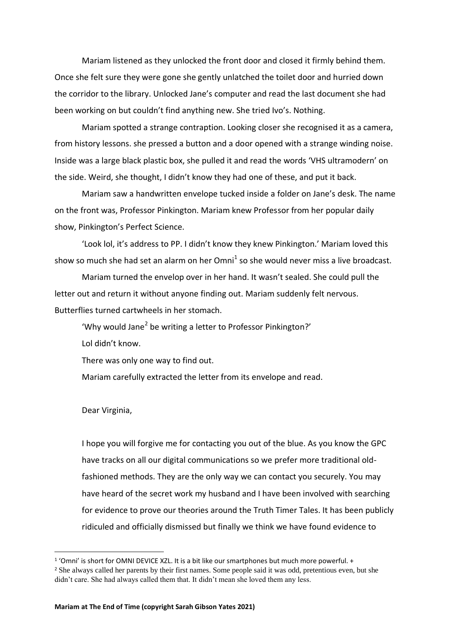Mariam listened as they unlocked the front door and closed it firmly behind them. Once she felt sure they were gone she gently unlatched the toilet door and hurried down the corridor to the library. Unlocked Jane's computer and read the last document she had been working on but couldn't find anything new. She tried Ivo's. Nothing.

Mariam spotted a strange contraption. Looking closer she recognised it as a camera, from history lessons. she pressed a button and a door opened with a strange winding noise. Inside was a large black plastic box, she pulled it and read the words 'VHS ultramodern' on the side. Weird, she thought, I didn't know they had one of these, and put it back.

Mariam saw a handwritten envelope tucked inside a folder on Jane's desk. The name on the front was, Professor Pinkington. Mariam knew Professor from her popular daily show, Pinkington's Perfect Science.

'Look lol, it's address to PP. I didn't know they knew Pinkington.' Mariam loved this show so much she had set an alarm on her  $Omni^1$  so she would never miss a live broadcast.

Mariam turned the envelop over in her hand. It wasn't sealed. She could pull the letter out and return it without anyone finding out. Mariam suddenly felt nervous. Butterflies turned cartwheels in her stomach.

'Why would Jane<sup>2</sup> be writing a letter to Professor Pinkington?' Lol didn't know.

There was only one way to find out.

Mariam carefully extracted the letter from its envelope and read.

Dear Virginia,

I hope you will forgive me for contacting you out of the blue. As you know the GPC have tracks on all our digital communications so we prefer more traditional oldfashioned methods. They are the only way we can contact you securely. You may have heard of the secret work my husband and I have been involved with searching for evidence to prove our theories around the Truth Timer Tales. It has been publicly ridiculed and officially dismissed but finally we think we have found evidence to

<sup>&</sup>lt;sup>1</sup> 'Omni' is short for OMNI DEVICE XZL. It is a bit like our smartphones but much more powerful. + <sup>2</sup> She always called her parents by their first names. Some people said it was odd, pretentious even, but she didn't care. She had always called them that. It didn't mean she loved them any less.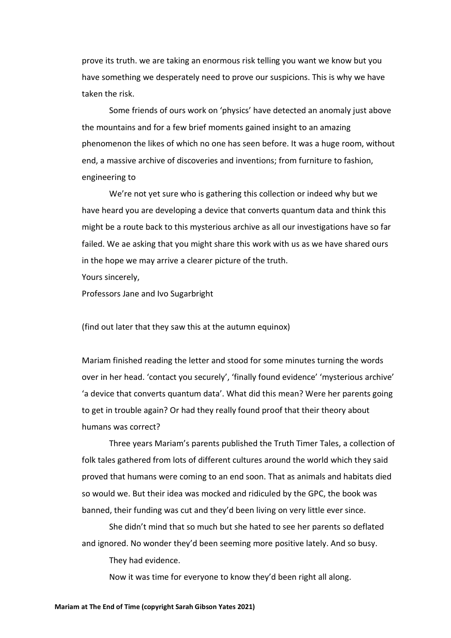prove its truth. we are taking an enormous risk telling you want we know but you have something we desperately need to prove our suspicions. This is why we have taken the risk.

Some friends of ours work on 'physics' have detected an anomaly just above the mountains and for a few brief moments gained insight to an amazing phenomenon the likes of which no one has seen before. It was a huge room, without end, a massive archive of discoveries and inventions; from furniture to fashion, engineering to

We're not yet sure who is gathering this collection or indeed why but we have heard you are developing a device that converts quantum data and think this might be a route back to this mysterious archive as all our investigations have so far failed. We ae asking that you might share this work with us as we have shared ours in the hope we may arrive a clearer picture of the truth.

Yours sincerely,

Professors Jane and Ivo Sugarbright

(find out later that they saw this at the autumn equinox)

Mariam finished reading the letter and stood for some minutes turning the words over in her head. 'contact you securely', 'finally found evidence' 'mysterious archive' 'a device that converts quantum data'. What did this mean? Were her parents going to get in trouble again? Or had they really found proof that their theory about humans was correct?

Three years Mariam's parents published the Truth Timer Tales, a collection of folk tales gathered from lots of different cultures around the world which they said proved that humans were coming to an end soon. That as animals and habitats died so would we. But their idea was mocked and ridiculed by the GPC, the book was banned, their funding was cut and they'd been living on very little ever since.

She didn't mind that so much but she hated to see her parents so deflated and ignored. No wonder they'd been seeming more positive lately. And so busy.

They had evidence.

Now it was time for everyone to know they'd been right all along.